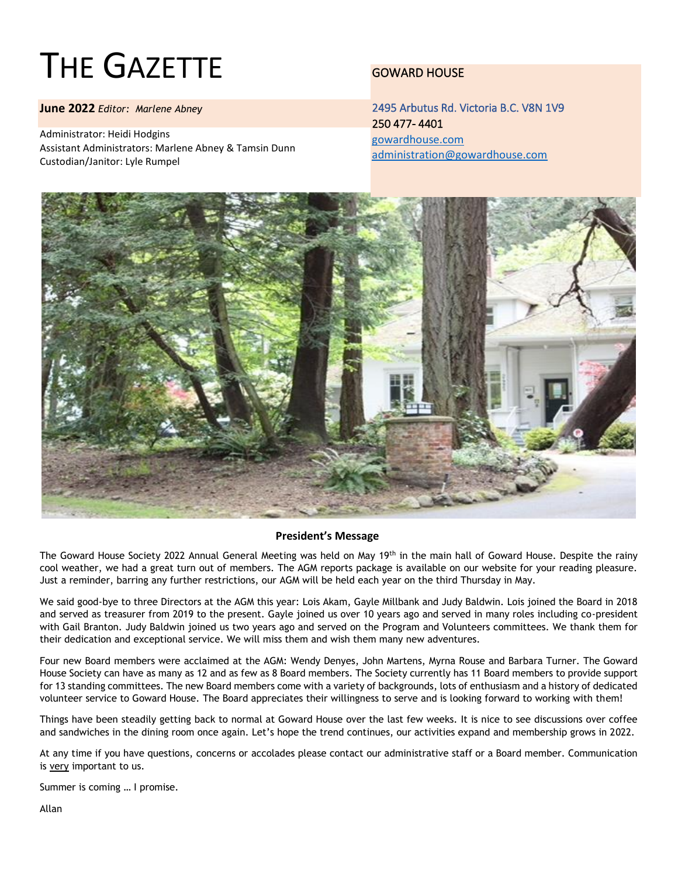# THE GAZETTE

**June 2022** *Editor: Marlene Abney*

Administrator: Heidi Hodgins Assistant Administrators: Marlene Abney & Tamsin Dunn Custodian/Janitor: Lyle Rumpel

### GOWARD HOUSE

2495 Arbutus Rd. Victoria B.C. V8N 1V9 250 477- 4401 [gowardhouse.com](http://gowardhouse.com/) [administration@gowardhouse.com](mailto:administration@gowardhouse.com)



#### **President's Message**

The Goward House Society 2022 Annual General Meeting was held on May 19<sup>th</sup> in the main hall of Goward House. Despite the rainy cool weather, we had a great turn out of members. The AGM reports package is available on our website for your reading pleasure. Just a reminder, barring any further restrictions, our AGM will be held each year on the third Thursday in May.

We said good-bye to three Directors at the AGM this year: Lois Akam, Gayle Millbank and Judy Baldwin. Lois joined the Board in 2018 and served as treasurer from 2019 to the present. Gayle joined us over 10 years ago and served in many roles including co-president with Gail Branton. Judy Baldwin joined us two years ago and served on the Program and Volunteers committees. We thank them for their dedication and exceptional service. We will miss them and wish them many new adventures.

Four new Board members were acclaimed at the AGM: Wendy Denyes, John Martens, Myrna Rouse and Barbara Turner. The Goward House Society can have as many as 12 and as few as 8 Board members. The Society currently has 11 Board members to provide support for 13 standing committees. The new Board members come with a variety of backgrounds, lots of enthusiasm and a history of dedicated volunteer service to Goward House. The Board appreciates their willingness to serve and is looking forward to working with them!

Things have been steadily getting back to normal at Goward House over the last few weeks. It is nice to see discussions over coffee and sandwiches in the dining room once again. Let's hope the trend continues, our activities expand and membership grows in 2022.

At any time if you have questions, concerns or accolades please contact our administrative staff or a Board member. Communication is very important to us.

Summer is coming … I promise.

Allan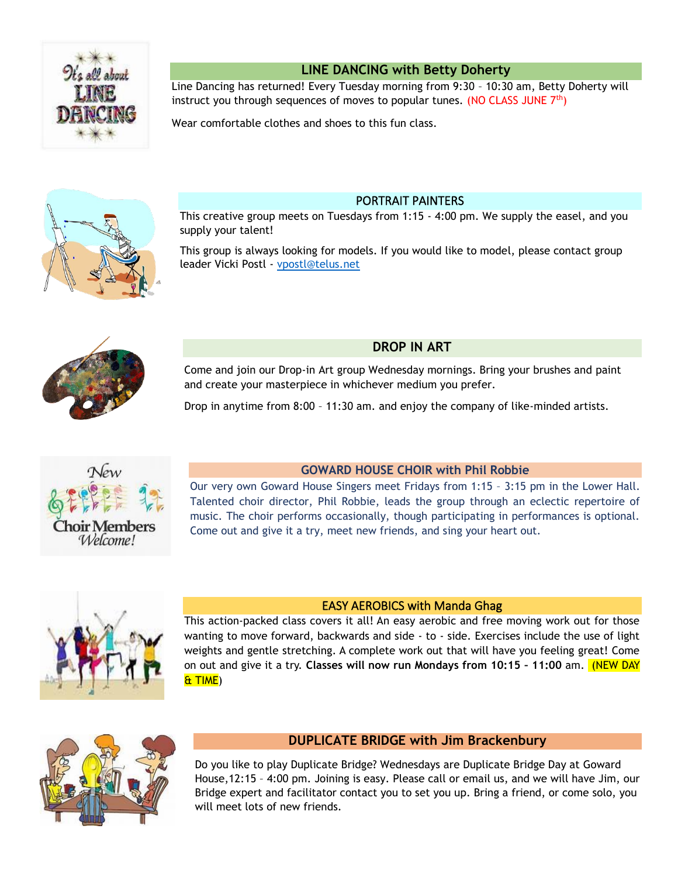

### **LINE DANCING with Betty Doherty**

Line Dancing has returned! Every Tuesday morning from 9:30 – 10:30 am, Betty Doherty will instruct you through sequences of moves to popular tunes. (NO CLASS JUNE  $7<sup>th</sup>$ )

Wear comfortable clothes and shoes to this fun class.



PORTRAIT PAINTERS

This creative group meets on Tuesdays from 1:15 - 4:00 pm. We supply the easel, and you supply your talent!

This group is always looking for models. If you would like to model, please contact group leader Vicki Postl - [vpostl@telus.net](mailto:vpostl@telus.net)



### **DROP IN ART**

Come and join our Drop-in Art group Wednesday mornings. Bring your brushes and paint and create your masterpiece in whichever medium you prefer.

Drop in anytime from 8:00 – 11:30 am. and enjoy the company of like-minded artists.



### **GOWARD HOUSE CHOIR with Phil Robbie**

Our very own Goward House Singers meet Fridays from 1:15 – 3:15 pm in the Lower Hall. Talented choir director, Phil Robbie, leads the group through an eclectic repertoire of music. The choir performs occasionally, though participating in performances is optional. Come out and give it a try, meet new friends, and sing your heart out.



### EASY AEROBICS with Manda Ghag

This action-packed class covers it all! An easy aerobic and free moving work out for those wanting to move forward, backwards and side - to - side. Exercises include the use of light weights and gentle stretching. A complete work out that will have you feeling great! Come on out and give it a try. **Classes will now run Mondays from 10:15 – 11:00** am. (NEW DAY & TIME)



### **DUPLICATE BRIDGE with Jim Brackenbury**

Do you like to play Duplicate Bridge? Wednesdays are Duplicate Bridge Day at Goward House,12:15 – 4:00 pm. Joining is easy. Please call or email us, and we will have Jim, our Bridge expert and facilitator contact you to set you up. Bring a friend, or come solo, you will meet lots of new friends.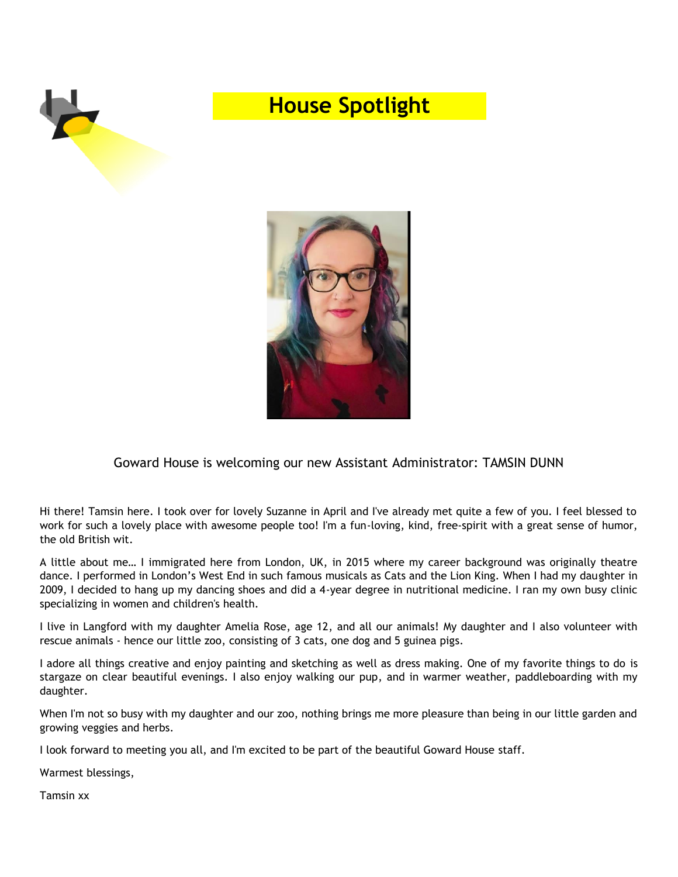

# **House Spotlight**



### Goward House is welcoming our new Assistant Administrator: TAMSIN DUNN

Hi there! Tamsin here. I took over for lovely Suzanne in April and I've already met quite a few of you. I feel blessed to work for such a lovely place with awesome people too! I'm a fun-loving, kind, free-spirit with a great sense of humor, the old British wit.

A little about me… I immigrated here from London, UK, in 2015 where my career background was originally theatre dance. I performed in London's West End in such famous musicals as Cats and the Lion King. When I had my daughter in 2009, I decided to hang up my dancing shoes and did a 4-year degree in nutritional medicine. I ran my own busy clinic specializing in women and children's health.

I live in Langford with my daughter Amelia Rose, age 12, and all our animals! My daughter and I also volunteer with rescue animals - hence our little zoo, consisting of 3 cats, one dog and 5 guinea pigs.

I adore all things creative and enjoy painting and sketching as well as dress making. One of my favorite things to do is stargaze on clear beautiful evenings. I also enjoy walking our pup, and in warmer weather, paddleboarding with my daughter.

When I'm not so busy with my daughter and our zoo, nothing brings me more pleasure than being in our little garden and growing veggies and herbs.

I look forward to meeting you all, and I'm excited to be part of the beautiful Goward House staff.

Warmest blessings,

Tamsin xx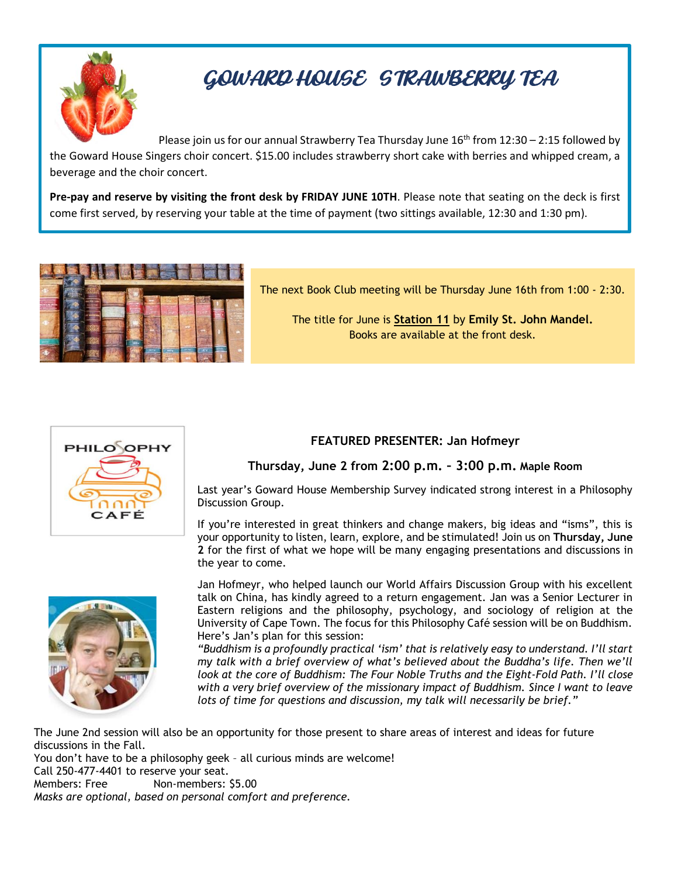

# GOWARD HOUSE STRAWBERRY TEA

Please join us for our annual Strawberry Tea Thursday June  $16<sup>th</sup>$  from  $12:30 - 2:15$  followed by the Goward House Singers choir concert. \$15.00 includes strawberry short cake with berries and whipped cream, a beverage and the choir concert.

**Pre-pay and reserve by visiting the front desk by FRIDAY JUNE 10TH**. Please note that seating on the deck is first come first served, by reserving your table at the time of payment (two sittings available, 12:30 and 1:30 pm).

*Choir singers pay \$10.00 Choir concert only, suggested donation of \$5.00* 



The next Book Club meeting will be Thursday June 16th from 1:00 - 2:30.

The title for June is **Station 11** by **Emily St. John Mandel.** Books are available at the front desk.



### **FEATURED PRESENTER: Jan Hofmeyr**

### **Thursday, June 2 from 2:00 p.m. – 3:00 p.m. Maple Room**

Last year's Goward House Membership Survey indicated strong interest in a Philosophy Discussion Group.

If you're interested in great thinkers and change makers, big ideas and "isms", this is your opportunity to listen, learn, explore, and be stimulated! Join us on **Thursday, June 2** for the first of what we hope will be many engaging presentations and discussions in the year to come.



Jan Hofmeyr, who helped launch our World Affairs Discussion Group with his excellent talk on China, has kindly agreed to a return engagement. Jan was a Senior Lecturer in Eastern religions and the philosophy, psychology, and sociology of religion at the University of Cape Town. The focus for this Philosophy Café session will be on Buddhism. Here's Jan's plan for this session:

*"Buddhism is a profoundly practical 'ism' that is relatively easy to understand. I'll start my talk with a brief overview of what's believed about the Buddha's life. Then we'll look at the core of Buddhism: The Four Noble Truths and the Eight-Fold Path. I'll close with a very brief overview of the missionary impact of Buddhism. Since I want to leave lots of time for questions and discussion, my talk will necessarily be brief."* 

The June 2nd session will also be an opportunity for those present to share areas of interest and ideas for future discussions in the Fall.

You don't have to be a philosophy geek – all curious minds are welcome!

Call 250-477-4401 to reserve your seat.

Members: Free Non-members: \$5.00 *Masks are optional, based on personal comfort and preference.*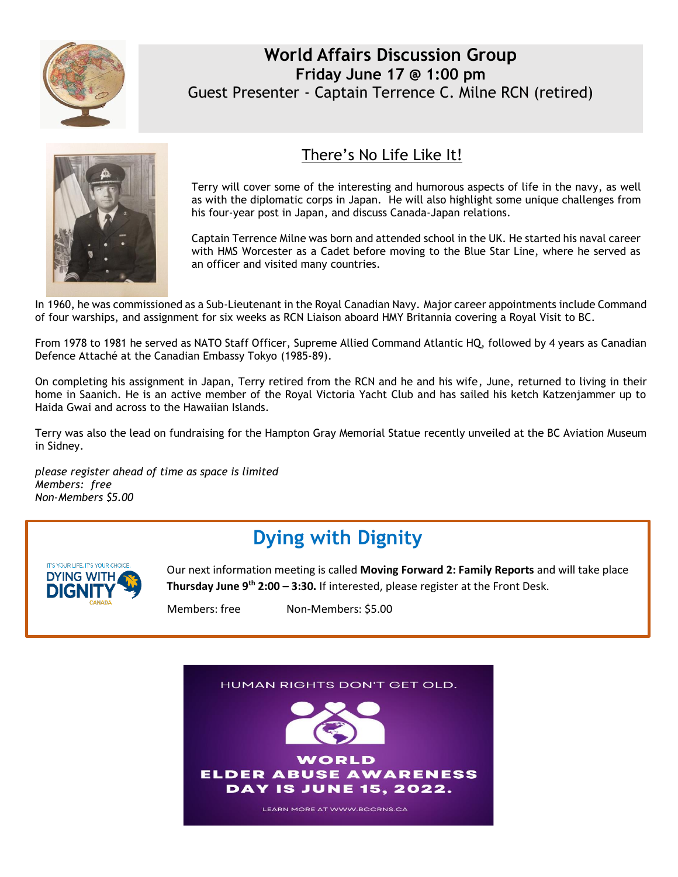

### **World Affairs Discussion Group Friday June 17 @ 1:00 pm** Guest Presenter - Captain Terrence C. Milne RCN (retired)



### There's No Life Like It!

Terry will cover some of the interesting and humorous aspects of life in the navy, as well as with the diplomatic corps in Japan. He will also highlight some unique challenges from his four-year post in Japan, and discuss Canada-Japan relations.

Captain Terrence Milne was born and attended school in the UK. He started his naval career with HMS Worcester as a Cadet before moving to the Blue Star Line, where he served as an officer and visited many countries.

In 1960, he was commissioned as a Sub-Lieutenant in the Royal Canadian Navy. Major career appointments include Command of four warships, and assignment for six weeks as RCN Liaison aboard HMY Britannia covering a Royal Visit to BC.

From 1978 to 1981 he served as NATO Staff Officer, Supreme Allied Command Atlantic HQ, followed by 4 years as Canadian Defence Attaché at the Canadian Embassy Tokyo (1985-89).

On completing his assignment in Japan, Terry retired from the RCN and he and his wife, June, returned to living in their home in Saanich. He is an active member of the Royal Victoria Yacht Club and has sailed his ketch Katzenjammer up to Haida Gwai and across to the Hawaiian Islands.

Terry was also the lead on fundraising for the Hampton Gray Memorial Statue recently unveiled at the BC Aviation Museum in Sidney.

*please register ahead of time as space is limited Members: free Non-Members \$5.00*

# **Dying with Dignity**



Our next information meeting is called **Moving Forward 2: Family Reports** and will take place **Thursday June 9th 2:00 – 3:30.** If interested, please register at the Front Desk.

Members: free Non-Members: \$5.00

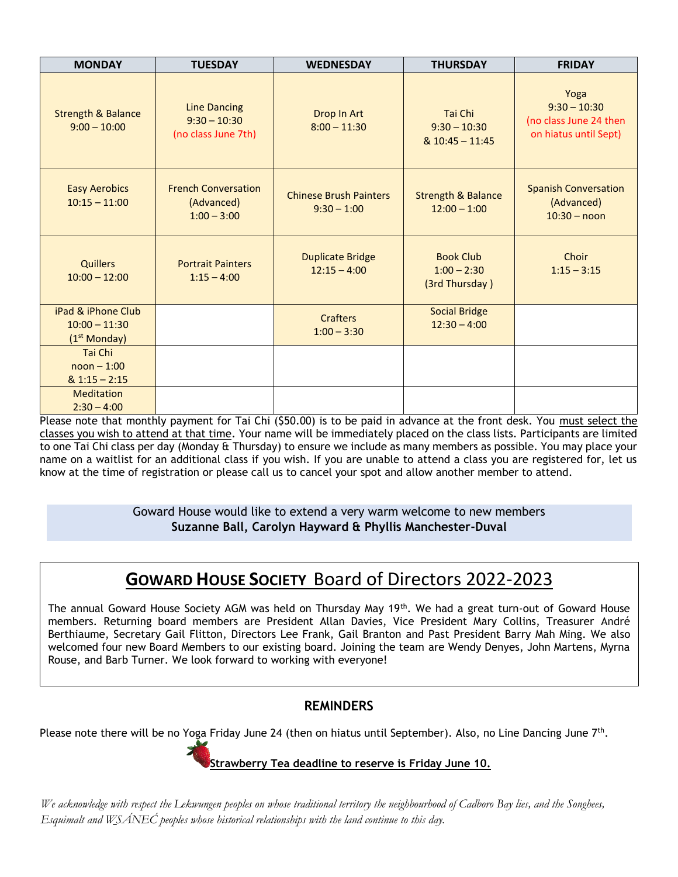| <b>MONDAY</b>                                                     | <b>TUESDAY</b>                                               | <b>WEDNESDAY</b>                               | <b>THURSDAY</b>                                     | <b>FRIDAY</b>                                                             |
|-------------------------------------------------------------------|--------------------------------------------------------------|------------------------------------------------|-----------------------------------------------------|---------------------------------------------------------------------------|
| <b>Strength &amp; Balance</b><br>$9:00 - 10:00$                   | <b>Line Dancing</b><br>$9:30 - 10:30$<br>(no class June 7th) | Drop In Art<br>$8:00 - 11:30$                  | Tai Chi<br>$9:30 - 10:30$<br>& 10:45 - 11:45        | Yoga<br>$9:30 - 10:30$<br>(no class June 24 then<br>on hiatus until Sept) |
| <b>Easy Aerobics</b><br>$10:15 - 11:00$                           | <b>French Conversation</b><br>(Advanced)<br>$1:00 - 3:00$    | <b>Chinese Brush Painters</b><br>$9:30 - 1:00$ | <b>Strength &amp; Balance</b><br>$12:00 - 1:00$     | <b>Spanish Conversation</b><br>(Advanced)<br>$10:30 - noon$               |
| <b>Quillers</b><br>$10:00 - 12:00$                                | <b>Portrait Painters</b><br>$1:15 - 4:00$                    | <b>Duplicate Bridge</b><br>$12:15 - 4:00$      | <b>Book Club</b><br>$1:00 - 2:30$<br>(3rd Thursday) | Choir<br>$1:15 - 3:15$                                                    |
| iPad & iPhone Club<br>$10:00 - 11:30$<br>(1 <sup>st</sup> Monday) |                                                              | <b>Crafters</b><br>$1:00 - 3:30$               | <b>Social Bridge</b><br>$12:30 - 4:00$              |                                                                           |
| Tai Chi<br>$noon - 1:00$<br>$& 1:15 - 2:15$                       |                                                              |                                                |                                                     |                                                                           |
| <b>Meditation</b><br>$2:30 - 4:00$                                |                                                              |                                                |                                                     |                                                                           |

Please note that monthly payment for Tai Chi (\$50.00) is to be paid in advance at the front desk. You must select the classes you wish to attend at that time. Your name will be immediately placed on the class lists. Participants are limited to one Tai Chi class per day (Monday & Thursday) to ensure we include as many members as possible. You may place your name on a waitlist for an additional class if you wish. If you are unable to attend a class you are registered for, let us know at the time of registration or please call us to cancel your spot and allow another member to attend.

> Goward House would like to extend a very warm welcome to new members **Suzanne Ball, Carolyn Hayward & Phyllis Manchester-Duval**

## **GOWARD HOUSE SOCIETY** Board of Directors 2022-2023

The annual Goward House Society AGM was held on Thursday May 19th. We had a great turn-out of Goward House members. Returning board members are President Allan Davies, Vice President Mary Collins, Treasurer André Berthiaume, Secretary Gail Flitton, Directors Lee Frank, Gail Branton and Past President Barry Mah Ming. We also welcomed four new Board Members to our existing board. Joining the team are Wendy Denyes, John Martens, Myrna Rouse, and Barb Turner. We look forward to working with everyone!

### **REMINDERS**

Please note there will be no Yoga Friday June 24 (then on hiatus until September). Also, no Line Dancing June 7<sup>th</sup>.



### **Strawberry Tea deadline to reserve is Friday June 10.**

*We acknowledge with respect the Lekwungen peoples on whose traditional territory the neighbourhood of Cadboro Bay lies, and the Songhees, Esquimalt and W̱SÁNEĆ peoples whose historical relationships with the land continue to this day.*